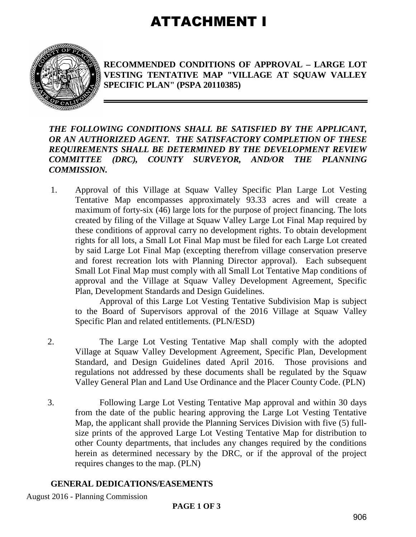# ATTACHMENT I



**RECOMMENDED CONDITIONS OF APPROVAL – LARGE LOT VESTING TENTATIVE MAP "VILLAGE AT SQUAW VALLEY SPECIFIC PLAN" (PSPA 20110385)** 

#### *THE FOLLOWING CONDITIONS SHALL BE SATISFIED BY THE APPLICANT, OR AN AUTHORIZED AGENT. THE SATISFACTORY COMPLETION OF THESE REQUIREMENTS SHALL BE DETERMINED BY THE DEVELOPMENT REVIEW COMMITTEE (DRC), COUNTY SURVEYOR, AND/OR THE PLANNING COMMISSION.*

1. Approval of this Village at Squaw Valley Specific Plan Large Lot Vesting Tentative Map encompasses approximately 93.33 acres and will create a maximum of forty-six (46) large lots for the purpose of project financing. The lots created by filing of the Village at Squaw Valley Large Lot Final Map required by these conditions of approval carry no development rights. To obtain development rights for all lots, a Small Lot Final Map must be filed for each Large Lot created by said Large Lot Final Map (excepting therefrom village conservation preserve and forest recreation lots with Planning Director approval). Each subsequent Small Lot Final Map must comply with all Small Lot Tentative Map conditions of approval and the Village at Squaw Valley Development Agreement, Specific Plan, Development Standards and Design Guidelines.

Approval of this Large Lot Vesting Tentative Subdivision Map is subject to the Board of Supervisors approval of the 2016 Village at Squaw Valley Specific Plan and related entitlements. (PLN/ESD)

- 2. The Large Lot Vesting Tentative Map shall comply with the adopted Village at Squaw Valley Development Agreement, Specific Plan, Development Standard, and Design Guidelines dated April 2016. Those provisions and regulations not addressed by these documents shall be regulated by the Squaw Valley General Plan and Land Use Ordinance and the Placer County Code. (PLN)
- 3. Following Large Lot Vesting Tentative Map approval and within 30 days from the date of the public hearing approving the Large Lot Vesting Tentative Map, the applicant shall provide the Planning Services Division with five (5) fullsize prints of the approved Large Lot Vesting Tentative Map for distribution to other County departments, that includes any changes required by the conditions herein as determined necessary by the DRC, or if the approval of the project requires changes to the map. (PLN)

## **GENERAL DEDICATIONS/EASEMENTS**

August 2016 - Planning Commission

## **PAGE 1 OF 3**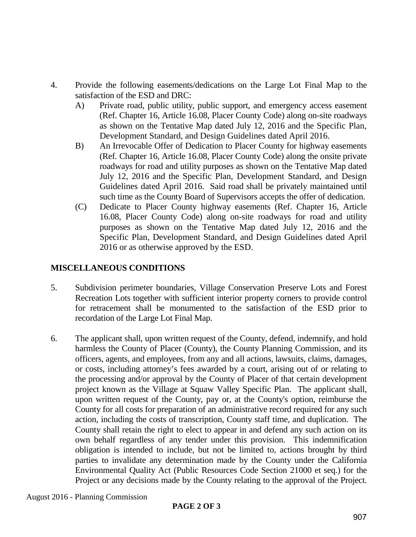- 4. Provide the following easements/dedications on the Large Lot Final Map to the satisfaction of the ESD and DRC:
	- A) Private road, public utility, public support, and emergency access easement (Ref. Chapter 16, Article 16.08, Placer County Code) along on-site roadways as shown on the Tentative Map dated July 12, 2016 and the Specific Plan, Development Standard, and Design Guidelines dated April 2016.
	- B) An Irrevocable Offer of Dedication to Placer County for highway easements (Ref. Chapter 16, Article 16.08, Placer County Code) along the onsite private roadways for road and utility purposes as shown on the Tentative Map dated July 12, 2016 and the Specific Plan, Development Standard, and Design Guidelines dated April 2016. Said road shall be privately maintained until such time as the County Board of Supervisors accepts the offer of dedication.
	- (C) Dedicate to Placer County highway easements (Ref. Chapter 16, Article 16.08, Placer County Code) along on-site roadways for road and utility purposes as shown on the Tentative Map dated July 12, 2016 and the Specific Plan, Development Standard, and Design Guidelines dated April 2016 or as otherwise approved by the ESD.

### **MISCELLANEOUS CONDITIONS**

- 5. Subdivision perimeter boundaries, Village Conservation Preserve Lots and Forest Recreation Lots together with sufficient interior property corners to provide control for retracement shall be monumented to the satisfaction of the ESD prior to recordation of the Large Lot Final Map.
- 6. The applicant shall, upon written request of the County, defend, indemnify, and hold harmless the County of Placer (County), the County Planning Commission, and its officers, agents, and employees, from any and all actions, lawsuits, claims, damages, or costs, including attorney's fees awarded by a court, arising out of or relating to the processing and/or approval by the County of Placer of that certain development project known as the Village at Squaw Valley Specific Plan. The applicant shall, upon written request of the County, pay or, at the County's option, reimburse the County for all costs for preparation of an administrative record required for any such action, including the costs of transcription, County staff time, and duplication. The County shall retain the right to elect to appear in and defend any such action on its own behalf regardless of any tender under this provision. This indemnification obligation is intended to include, but not be limited to, actions brought by third parties to invalidate any determination made by the County under the California Environmental Quality Act (Public Resources Code Section 21000 et seq.) for the Project or any decisions made by the County relating to the approval of the Project.